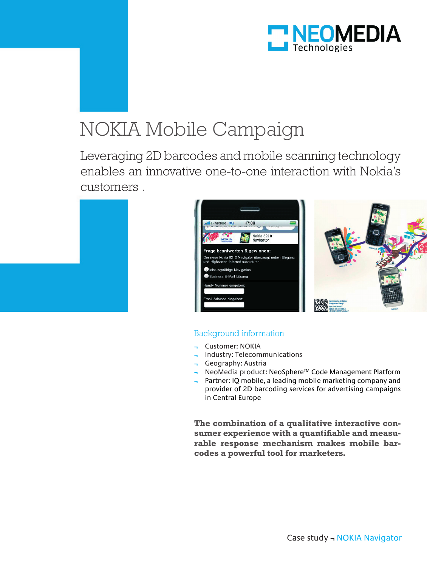

# NOKIA Mobile Campaign

Leveraging 2D barcodes and mobile scanning technology enables an innovative one-to-one interaction with Nokia's customers .





## Background information

- **¬** Customer: NOKIA
- **¬** Industry: Telecommunications
- **¬** Geography: Austria
- **¬** NeoMedia product: NeoSphereTM Code Management Platform
- **¬** Partner: IQ mobile, a leading mobile marketing company and provider of 2D barcoding services for advertising campaigns in Central Europe

**The combination of a qualitative interactive consumer experience with a quantifiable and measurable response mechanism makes mobile barcodes a powerful tool for marketers.**